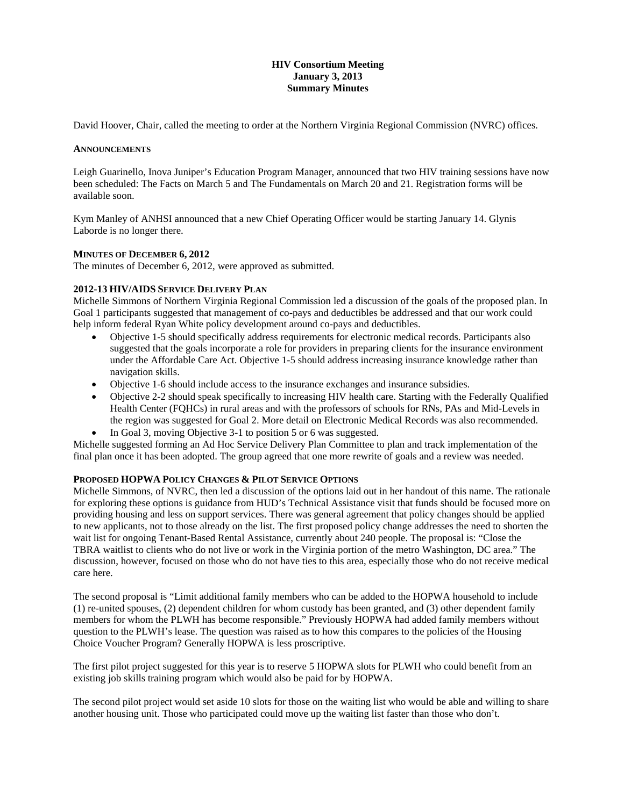## **HIV Consortium Meeting January 3, 2013 Summary Minutes**

David Hoover, Chair, called the meeting to order at the Northern Virginia Regional Commission (NVRC) offices.

#### **ANNOUNCEMENTS**

Leigh Guarinello, Inova Juniper's Education Program Manager, announced that two HIV training sessions have now been scheduled: The Facts on March 5 and The Fundamentals on March 20 and 21. Registration forms will be available soon.

Kym Manley of ANHSI announced that a new Chief Operating Officer would be starting January 14. Glynis Laborde is no longer there.

#### **MINUTES OF DECEMBER 6, 2012**

The minutes of December 6, 2012, were approved as submitted.

#### **2012-13 HIV/AIDS SERVICE DELIVERY PLAN**

Michelle Simmons of Northern Virginia Regional Commission led a discussion of the goals of the proposed plan. In Goal 1 participants suggested that management of co-pays and deductibles be addressed and that our work could help inform federal Ryan White policy development around co-pays and deductibles.

- Objective 1-5 should specifically address requirements for electronic medical records. Participants also suggested that the goals incorporate a role for providers in preparing clients for the insurance environment under the Affordable Care Act. Objective 1-5 should address increasing insurance knowledge rather than navigation skills.
- Objective 1-6 should include access to the insurance exchanges and insurance subsidies.
- Objective 2-2 should speak specifically to increasing HIV health care. Starting with the Federally Qualified Health Center (FQHCs) in rural areas and with the professors of schools for RNs, PAs and Mid-Levels in the region was suggested for Goal 2. More detail on Electronic Medical Records was also recommended.
- In Goal 3, moving Objective 3-1 to position 5 or 6 was suggested.

Michelle suggested forming an Ad Hoc Service Delivery Plan Committee to plan and track implementation of the final plan once it has been adopted. The group agreed that one more rewrite of goals and a review was needed.

## **PROPOSED HOPWA POLICY CHANGES & PILOT SERVICE OPTIONS**

Michelle Simmons, of NVRC, then led a discussion of the options laid out in her handout of this name. The rationale for exploring these options is guidance from HUD's Technical Assistance visit that funds should be focused more on providing housing and less on support services. There was general agreement that policy changes should be applied to new applicants, not to those already on the list. The first proposed policy change addresses the need to shorten the wait list for ongoing Tenant-Based Rental Assistance, currently about 240 people. The proposal is: "Close the TBRA waitlist to clients who do not live or work in the Virginia portion of the metro Washington, DC area." The discussion, however, focused on those who do not have ties to this area, especially those who do not receive medical care here.

The second proposal is "Limit additional family members who can be added to the HOPWA household to include (1) re-united spouses, (2) dependent children for whom custody has been granted, and (3) other dependent family members for whom the PLWH has become responsible." Previously HOPWA had added family members without question to the PLWH's lease. The question was raised as to how this compares to the policies of the Housing Choice Voucher Program? Generally HOPWA is less proscriptive.

The first pilot project suggested for this year is to reserve 5 HOPWA slots for PLWH who could benefit from an existing job skills training program which would also be paid for by HOPWA.

The second pilot project would set aside 10 slots for those on the waiting list who would be able and willing to share another housing unit. Those who participated could move up the waiting list faster than those who don't.